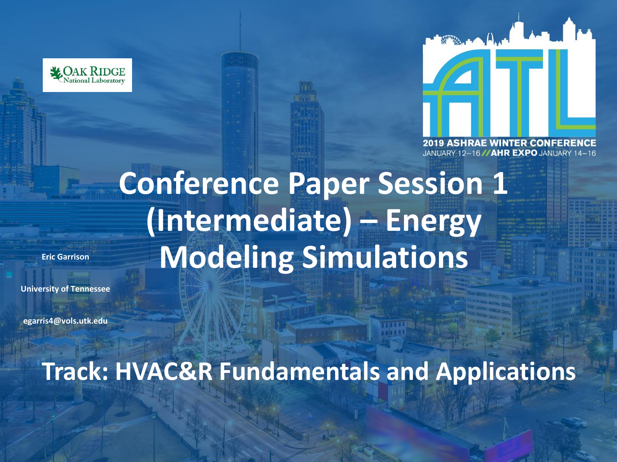



JANUARY 12-16 // AHR EXPO JANUARY

# **Conference Paper Session 1 (Intermediate) – Energy Modeling Simulations**

**Eric Garrison**

**University of Tennessee**

**egarris4@vols.utk.edu**

**Track: HVAC&R Fundamentals and Applications**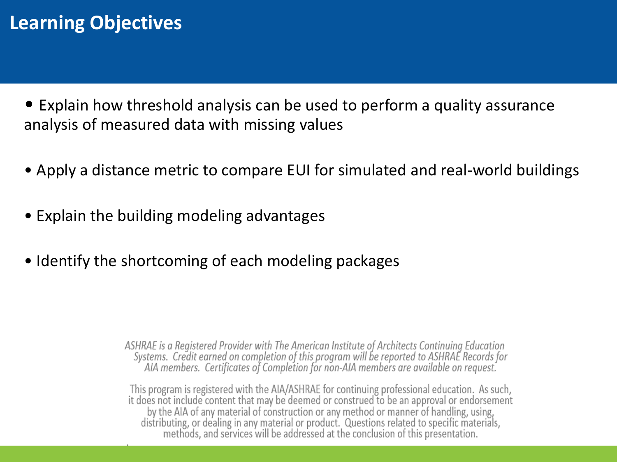## **Learning Objectives**

• Explain how threshold analysis can be used to perform a quality assurance analysis of measured data with missing values

- Apply a distance metric to compare EUI for simulated and real-world buildings
- Explain the building modeling advantages
- Identify the shortcoming of each modeling packages

ASHRAE is a Registered Provider with The American Institute of Architects Continuing Education Systems. Credit earned on completion of this program will be reported to ASHRAE Records for<br>AIA members. Certificates of Completion for non-AIA members are available on request.

This program is registered with the AIA/ASHRAE for continuing professional education. As such, it does not include content that may be deemed or construed to be an approval or endorsement by the AIA of any material of construction or any method or manner of handling, using, distributing, or dealing in any material or product. Questions related to specific materials, methods, and services will be addressed at the conclusion of this presentation.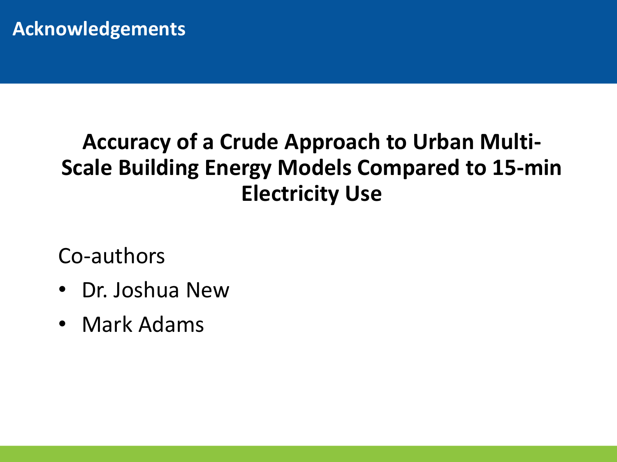## **Accuracy of a Crude Approach to Urban Multi-Scale Building Energy Models Compared to 15-min Electricity Use**

Co-authors

- Dr. Joshua New
- Mark Adams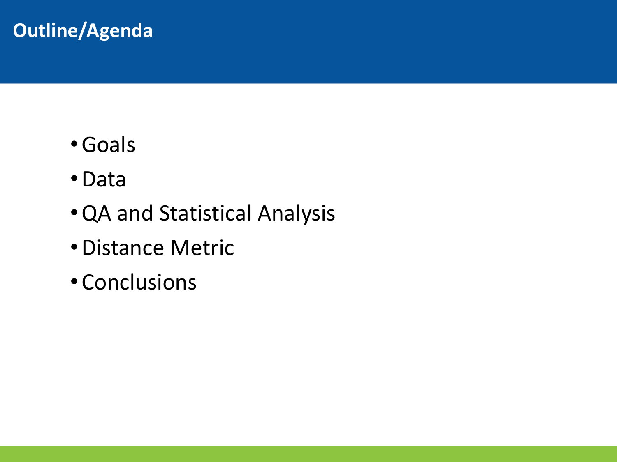## **Outline/Agenda**

- •Goals
- •Data
- •QA and Statistical Analysis
- •Distance Metric
- Conclusions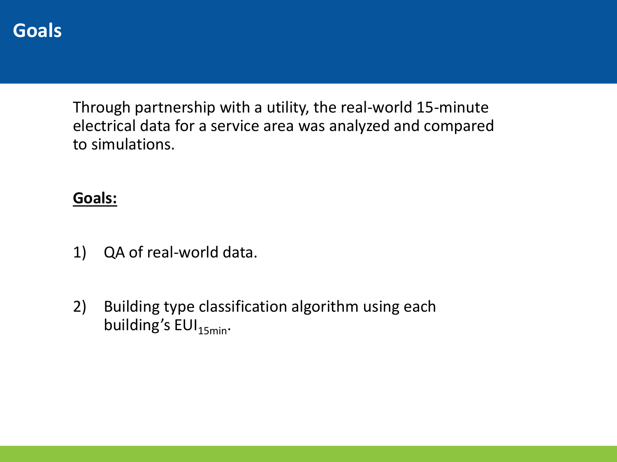#### **Goals**

Through partnership with a utility, the real-world 15-minute electrical data for a service area was analyzed and compared to simulations.

#### **Goals:**

- 1) QA of real-world data.
- 2) Building type classification algorithm using each building's  $EUI_{15min}$ .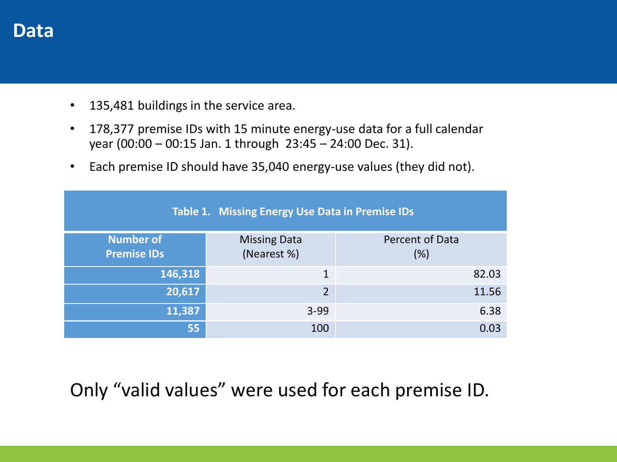#### **Data**

- 135,481 buildings in the service area.
- 178,377 premise IDs with 15 minute energy-use data for a full calendar year (00:00 – 00:15 Jan. 1 through 23:45 – 24:00 Dec. 31).
- Each premise ID should have 35,040 energy-use values (they did not).

| Table 1. Missing Energy Use Data in Premise IDs |                                    |                        |  |  |  |  |  |
|-------------------------------------------------|------------------------------------|------------------------|--|--|--|--|--|
| <b>Number of</b><br><b>Premise IDs</b>          | <b>Missing Data</b><br>(Nearest %) | Percent of Data<br>(%) |  |  |  |  |  |
|                                                 |                                    |                        |  |  |  |  |  |
| 146,318                                         | $\mathbf{1}$                       | 82.03                  |  |  |  |  |  |
| 20,617                                          | $\overline{2}$                     | 11.56                  |  |  |  |  |  |
| 11,387                                          | $3 - 99$                           | 6.38                   |  |  |  |  |  |
| 55                                              | 100                                | 0.03                   |  |  |  |  |  |

#### Only "valid values" were used for each premise ID.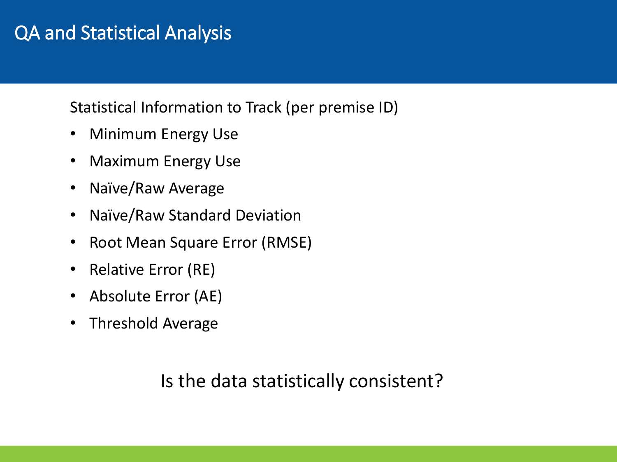## QA and Statistical Analysis

Statistical Information to Track (per premise ID)

- Minimum Energy Use
- Maximum Energy Use
- Naïve/Raw Average
- Naïve/Raw Standard Deviation
- Root Mean Square Error (RMSE)
- Relative Error (RE)
- Absolute Error (AE)
- Threshold Average

#### Is the data statistically consistent?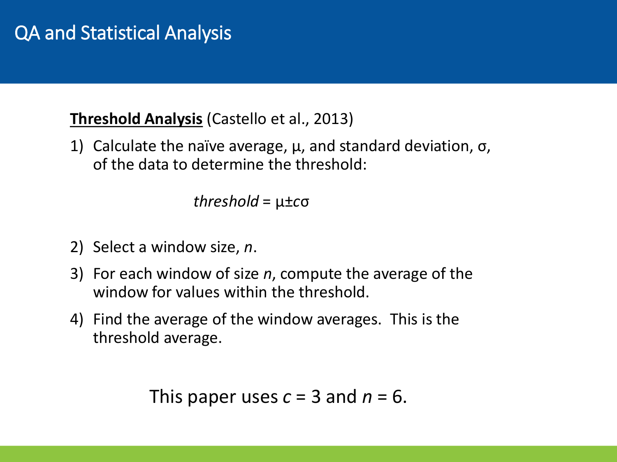#### **Threshold Analysis** (Castello et al., 2013)

1) Calculate the naïve average,  $\mu$ , and standard deviation,  $\sigma$ , of the data to determine the threshold:

*threshold* = μ±*c*σ

- 2) Select a window size, *n*.
- 3) For each window of size *n*, compute the average of the window for values within the threshold.
- 4) Find the average of the window averages. This is the threshold average.

This paper uses  $c = 3$  and  $n = 6$ .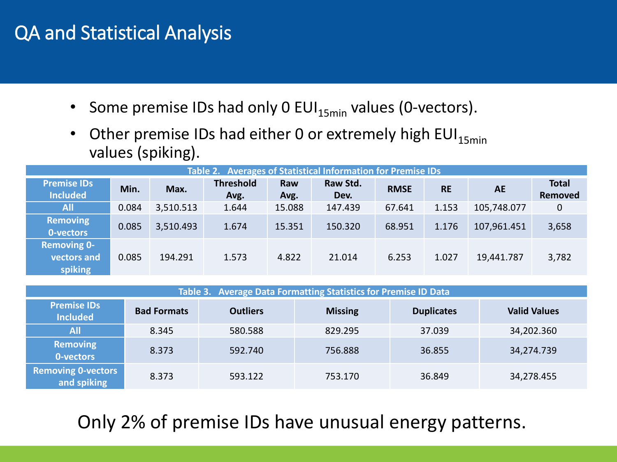## QA and Statistical Analysis

- Some premise IDs had only 0 EUI $_{15min}$  values (0-vectors).
- Other premise IDs had either 0 or extremely high EUI $_{15min}$ values (spiking).

| Table 2. Averages of Statistical Information for Premise IDs |       |           |                          |             |                  |             |           |             |                         |
|--------------------------------------------------------------|-------|-----------|--------------------------|-------------|------------------|-------------|-----------|-------------|-------------------------|
| <b>Premise IDs</b><br><b>Included</b>                        | Min.  | Max.      | <b>Threshold</b><br>Avg. | Raw<br>Avg. | Raw Std.<br>Dev. | <b>RMSE</b> | <b>RE</b> | <b>AE</b>   | <b>Total</b><br>Removed |
| <b>All</b>                                                   | 0.084 | 3,510.513 | 1.644                    | 15.088      | 147.439          | 67.641      | 1.153     | 105,748.077 | 0                       |
| <b>Removing</b><br>0-vectors                                 | 0.085 | 3,510.493 | 1.674                    | 15.351      | 150.320          | 68.951      | 1.176     | 107,961.451 | 3,658                   |
| <b>Removing 0-</b><br>vectors and<br>spiking                 | 0.085 | 194.291   | 1.573                    | 4.822       | 21.014           | 6.253       | 1.027     | 19,441.787  | 3,782                   |

| Table 3. Average Data Formatting Statistics for Premise ID Data |                    |                 |                |                   |                     |  |  |  |
|-----------------------------------------------------------------|--------------------|-----------------|----------------|-------------------|---------------------|--|--|--|
| <b>Premise IDs</b><br><b>Included</b>                           | <b>Bad Formats</b> | <b>Outliers</b> | <b>Missing</b> | <b>Duplicates</b> | <b>Valid Values</b> |  |  |  |
| <b>All</b>                                                      | 8.345              | 580.588         | 829.295        | 37.039            | 34,202.360          |  |  |  |
| Removing<br>0-vectors                                           | 8.373              | 592.740         | 756.888        | 36.855            | 34,274.739          |  |  |  |
| <b>Removing 0-vectors</b><br>and spiking                        | 8.373              | 593.122         | 753.170        | 36.849            | 34,278.455          |  |  |  |

Only 2% of premise IDs have unusual energy patterns.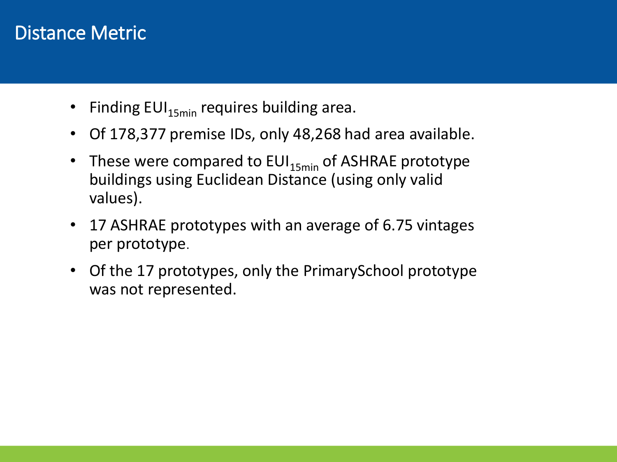#### Distance Metric

- Finding  $EUI_{15min}$  requires building area.
- Of 178,377 premise IDs, only 48,268 had area available.
- These were compared to  $EUI_{15min}$  of ASHRAE prototype buildings using Euclidean Distance (using only valid values).
- 17 ASHRAE prototypes with an average of 6.75 vintages per prototype.
- Of the 17 prototypes, only the PrimarySchool prototype was not represented.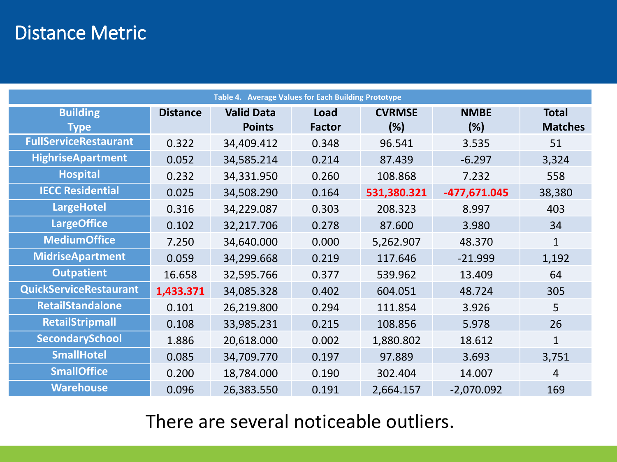## Distance Metric

| Table 4. Average Values for Each Building Prototype |                 |                                    |                       |                      |                    |                                |  |
|-----------------------------------------------------|-----------------|------------------------------------|-----------------------|----------------------|--------------------|--------------------------------|--|
| <b>Building</b><br><b>Type</b>                      | <b>Distance</b> | <b>Valid Data</b><br><b>Points</b> | Load<br><b>Factor</b> | <b>CVRMSE</b><br>(%) | <b>NMBE</b><br>(%) | <b>Total</b><br><b>Matches</b> |  |
| <b>FullServiceRestaurant</b>                        | 0.322           | 34,409.412                         | 0.348                 | 96.541               | 3.535              | 51                             |  |
| <b>HighriseApartment</b>                            | 0.052           | 34,585.214                         | 0.214                 | 87.439               | $-6.297$           | 3,324                          |  |
| <b>Hospital</b>                                     | 0.232           | 34,331.950                         | 0.260                 | 108.868              | 7.232              | 558                            |  |
| <b>IECC Residential</b>                             | 0.025           | 34,508.290                         | 0.164                 | 531,380.321          | -477,671.045       | 38,380                         |  |
| <b>LargeHotel</b>                                   | 0.316           | 34,229.087                         | 0.303                 | 208.323              | 8.997              | 403                            |  |
| <b>LargeOffice</b>                                  | 0.102           | 32,217.706                         | 0.278                 | 87.600               | 3.980              | 34                             |  |
| <b>MediumOffice</b>                                 | 7.250           | 34,640.000                         | 0.000                 | 5,262.907            | 48.370             | $\mathbf{1}$                   |  |
| <b>MidriseApartment</b>                             | 0.059           | 34,299.668                         | 0.219                 | 117.646              | $-21.999$          | 1,192                          |  |
| <b>Outpatient</b>                                   | 16.658          | 32,595.766                         | 0.377                 | 539.962              | 13.409             | 64                             |  |
| <b>QuickServiceRestaurant</b>                       | 1,433.371       | 34,085.328                         | 0.402                 | 604.051              | 48.724             | 305                            |  |
| RetailStandalone                                    | 0.101           | 26,219.800                         | 0.294                 | 111.854              | 3.926              | 5                              |  |
| <b>RetailStripmall</b>                              | 0.108           | 33,985.231                         | 0.215                 | 108.856              | 5.978              | 26                             |  |
| SecondarySchool                                     | 1.886           | 20,618.000                         | 0.002                 | 1,880.802            | 18.612             | 1                              |  |
| <b>SmallHotel</b>                                   | 0.085           | 34,709.770                         | 0.197                 | 97.889               | 3.693              | 3,751                          |  |
| <b>SmallOffice</b>                                  | 0.200           | 18,784.000                         | 0.190                 | 302.404              | 14.007             | 4                              |  |
| <b>Warehouse</b>                                    | 0.096           | 26,383.550                         | 0.191                 | 2,664.157            | $-2,070.092$       | 169                            |  |

There are several noticeable outliers.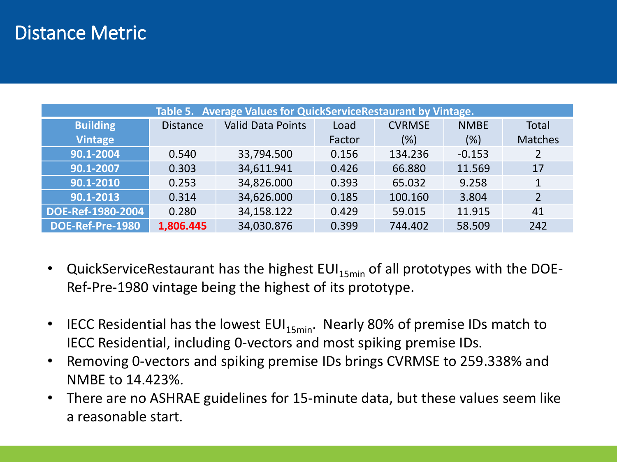#### Distance Metric

| Table 5. Average Values for QuickServiceRestaurant by Vintage. |                 |                          |        |               |             |                |  |  |
|----------------------------------------------------------------|-----------------|--------------------------|--------|---------------|-------------|----------------|--|--|
| <b>Building</b>                                                | <b>Distance</b> | <b>Valid Data Points</b> | Load   | <b>CVRMSE</b> | <b>NMBE</b> | <b>Total</b>   |  |  |
| <b>Vintage</b>                                                 |                 |                          | Factor | (%)           | (%)         | <b>Matches</b> |  |  |
| 90.1-2004                                                      | 0.540           | 33,794.500               | 0.156  | 134.236       | $-0.153$    | 2              |  |  |
| 90.1-2007                                                      | 0.303           | 34,611.941               | 0.426  | 66.880        | 11.569      | 17             |  |  |
| 90.1-2010                                                      | 0.253           | 34,826.000               | 0.393  | 65.032        | 9.258       | $\mathbf{1}$   |  |  |
| 90.1-2013                                                      | 0.314           | 34,626.000               | 0.185  | 100.160       | 3.804       | $\overline{2}$ |  |  |
| DOE-Ref-1980-2004                                              | 0.280           | 34,158.122               | 0.429  | 59.015        | 11.915      | 41             |  |  |
| DOE-Ref-Pre-1980                                               | 1,806.445       | 34,030.876               | 0.399  | 744.402       | 58.509      | 242            |  |  |

- QuickServiceRestaurant has the highest  $EUI_{15min}$  of all prototypes with the DOE-Ref-Pre-1980 vintage being the highest of its prototype.
- IECC Residential has the lowest  $EUI_{15min}$ . Nearly 80% of premise IDs match to IECC Residential, including 0-vectors and most spiking premise IDs.
- Removing 0-vectors and spiking premise IDs brings CVRMSE to 259.338% and NMBE to 14.423%.
- There are no ASHRAE guidelines for 15-minute data, but these values seem like a reasonable start.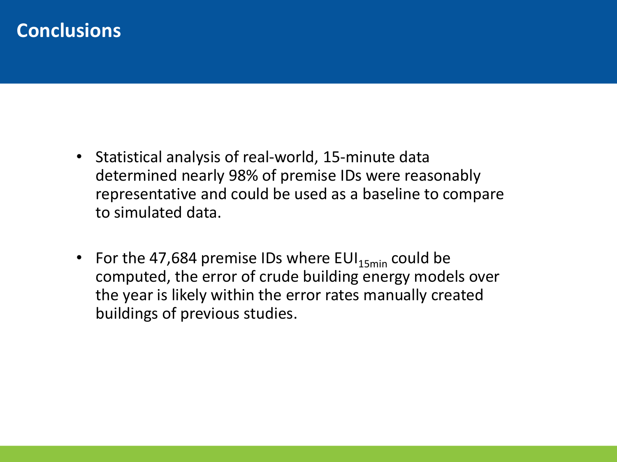#### **Conclusions**

- Statistical analysis of real-world, 15-minute data determined nearly 98% of premise IDs were reasonably representative and could be used as a baseline to compare to simulated data.
- For the 47,684 premise IDs where  $EUI_{15min}$  could be computed, the error of crude building energy models over the year is likely within the error rates manually created buildings of previous studies.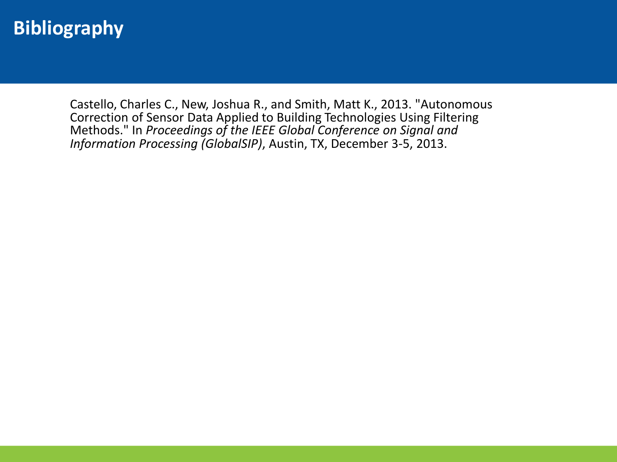#### **Bibliography**

Castello, Charles C., New, Joshua R., and Smith, Matt K., 2013. "Autonomous Correction of Sensor Data Applied to Building Technologies Using Filtering Methods." In *Proceedings of the IEEE Global Conference on Signal and Information Processing (GlobalSIP)*, Austin, TX, December 3-5, 2013.